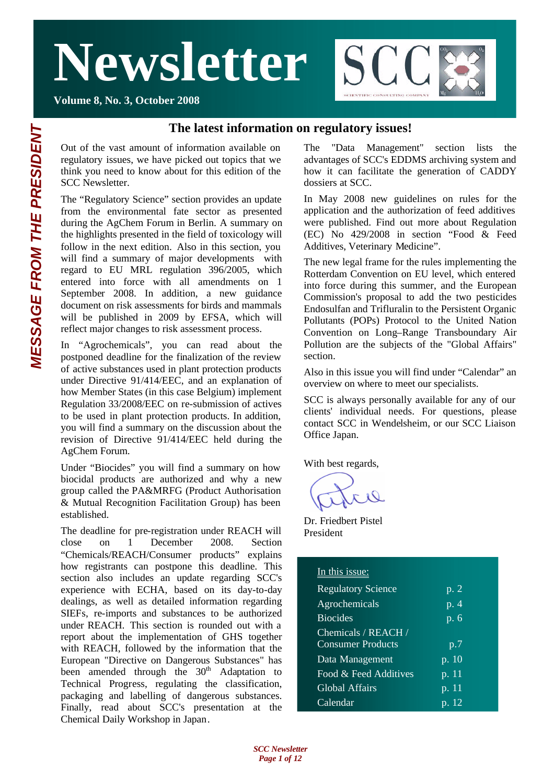

#### **Volume 8, No. 3, October 2008**

#### **The latest information on regulatory issues!**

Out of the vast amount of information available on regulatory issues, we have picked out topics that we think you need to know about for this edition of the SCC Newsletter.

The "Regulatory Science" section provides an update from the environmental fate sector as presented during the AgChem Forum in Berlin. A summary on the highlights presented in the field of toxicology will follow in the next edition. Also in this section, you will find a summary of major developments with regard to EU MRL regulation 396/2005, which entered into force with all amendments on 1 September 2008. In addition, a new guidance document on risk assessments for birds and mammals will be published in 2009 by EFSA, which will reflect major changes to risk assessment process.

In "Agrochemicals", you can read about the postponed deadline for the finalization of the review of active substances used in plant protection products under Directive 91/414/EEC, and an explanation of how Member States (in this case Belgium) implement Regulation 33/2008/EEC on re-submission of actives to be used in plant protection products. In addition, you will find a summary on the discussion about the revision of Directive 91/414/EEC held during the AgChem Forum.

Under "Biocides" you will find a summary on how biocidal products are authorized and why a new group called the PA&MRFG (Product Authorisation & Mutual Recognition Facilitation Group) has been established.

The deadline for pre-registration under REACH will close on 1 December 2008. Section "Chemicals/REACH/Consumer products" explains how registrants can postpone this deadline. This section also includes an update regarding SCC's experience with ECHA, based on its day-to-day dealings, as well as detailed information regarding SIEFs, re-imports and substances to be authorized under REACH. This section is rounded out with a report about the implementation of GHS together with REACH, followed by the information that the European "Directive on Dangerous Substances" has been amended through the  $30<sup>th</sup>$  Adaptation to Technical Progress, regulating the classification, packaging and labelling of dangerous substances. Finally, read about SCC's presentation at the Chemical Daily Workshop in Japan.

The "Data Management" section lists the advantages of SCC's EDDMS archiving system and how it can facilitate the generation of CADDY dossiers at SCC.

In May 2008 new guidelines on rules for the application and the authorization of feed additives were published. Find out more about Regulation (EC) No 429/2008 in section "Food & Feed Additives, Veterinary Medicine".

The new legal frame for the rules implementing the Rotterdam Convention on EU level, which entered into force during this summer, and the European Commission's proposal to add the two pesticides Endosulfan and Trifluralin to the Persistent Organic Pollutants (POPs) Protocol to the United Nation Convention on Long–Range Transboundary Air Pollution are the subjects of the "Global Affairs" section.

Also in this issue you will find under "Calendar" an overview on where to meet our specialists.

SCC is always personally available for any of our clients' individual needs. For questions, please contact SCC in Wendelsheim, or our SCC Liaison Office Japan.

With best regards,

Dr. Friedbert Pistel President

#### In this issue:

| <b>Regulatory Science</b> | p. 2               |
|---------------------------|--------------------|
| Agrochemicals             | $\overline{p}$ . 4 |
| <b>Biocides</b>           | $\overline{p}$ . 6 |
| Chemicals / REACH /       |                    |
| <b>Consumer Products</b>  | p.7                |
| Data Management           | p. 10              |
| Food & Feed Additives     | p. 11              |
| <b>Global Affairs</b>     | p. 11              |
| Calendar                  | p. 12              |
|                           |                    |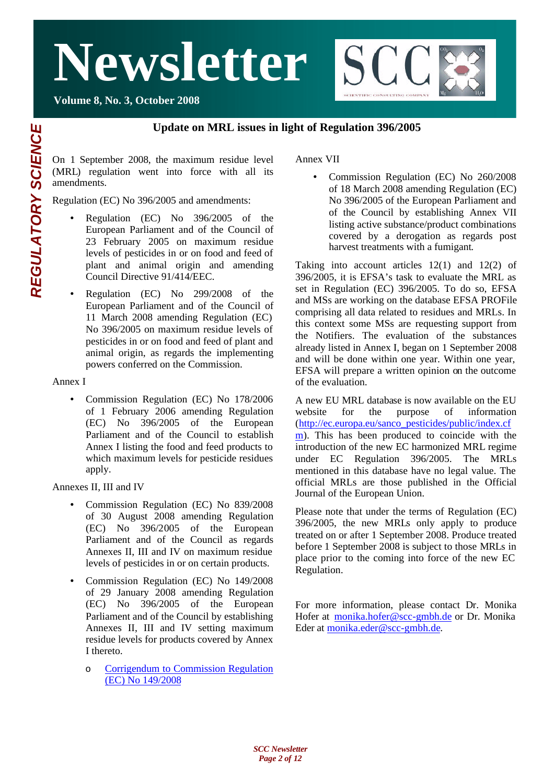

### **Update on MRL issues in light of Regulation 396/2005**

On 1 September 2008, the maximum residue level (MRL) regulation went into force with all its amendments.

Regulation (EC) No 396/2005 and amendments:

- Regulation (EC) No 396/2005 of the European Parliament and of the Council of 23 February 2005 on maximum residue levels of pesticides in or on food and feed of plant and animal origin and amending Council Directive 91/414/EEC.
- Regulation (EC) No 299/2008 of the European Parliament and of the Council of 11 March 2008 amending Regulation (EC) No 396/2005 on maximum residue levels of pesticides in or on food and feed of plant and animal origin, as regards the implementing powers conferred on the Commission.

Annex I

• Commission Regulation (EC) No 178/2006 of 1 February 2006 amending Regulation (EC) No 396/2005 of the European Parliament and of the Council to establish Annex I listing the food and feed products to which maximum levels for pesticide residues apply.

Annexes II, III and IV

- Commission Regulation (EC) No 839/2008 of 30 August 2008 amending Regulation (EC) No 396/2005 of the European Parliament and of the Council as regards Annexes II, III and IV on maximum residue levels of pesticides in or on certain products.
- Commission Regulation (EC) No 149/2008 of 29 January 2008 amending Regulation (EC) No 396/2005 of the European Parliament and of the Council by establishing Annexes II, III and IV setting maximum residue levels for products covered by Annex I thereto.
	- o Corrigendum to Commission Regulation (EC) No 149/2008

Annex VII

• Commission Regulation (EC) No 260/2008 of 18 March 2008 amending Regulation (EC) No 396/2005 of the European Parliament and of the Council by establishing Annex VII listing active substance/product combinations covered by a derogation as regards post harvest treatments with a fumigant.

**SCC** 

**CIENTIFIC CONSULTING COMPA** 

Taking into account articles 12(1) and 12(2) of 396/2005, it is EFSA's task to evaluate the MRL as set in Regulation (EC) 396/2005. To do so, EFSA and MSs are working on the database EFSA PROFile comprising all data related to residues and MRLs. In this context some MSs are requesting support from the Notifiers. The evaluation of the substances already listed in Annex I, began on 1 September 2008 and will be done within one year. Within one year, EFSA will prepare a written opinion on the outcome of the evaluation.

A new EU MRL database is now available on the EU website for the purpose of information (http://ec.europa.eu/sanco\_pesticides/public/index.cf m). This has been produced to coincide with the introduction of the new EC harmonized MRL regime under EC Regulation 396/2005. The MRLs mentioned in this database have no legal value. The official MRLs are those published in the Official Journal of the European Union.

Please note that under the terms of Regulation (EC) 396/2005, the new MRLs only apply to produce treated on or after 1 September 2008. Produce treated before 1 September 2008 is subject to those MRLs in place prior to the coming into force of the new EC Regulation.

For more information, please contact Dr. Monika Hofer at monika.hofer@scc-gmbh.de or Dr. Monika Eder at monika.eder@scc-gmbh.de.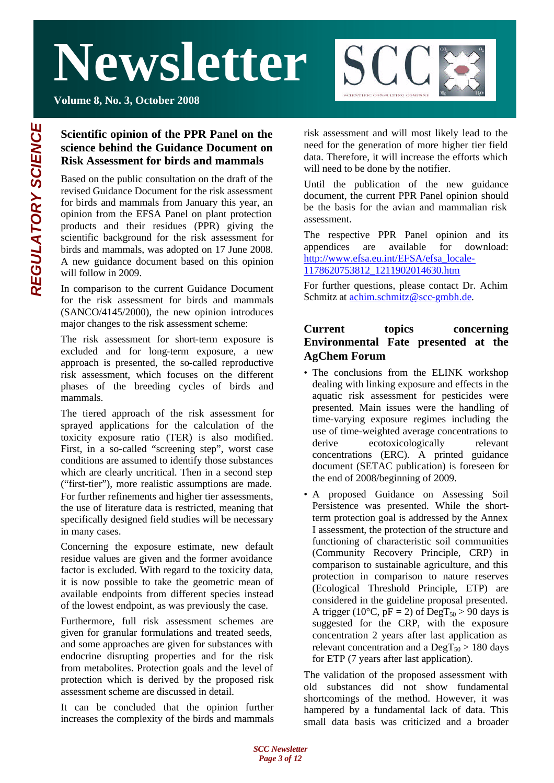

**Volume 8, No. 3, October 2008**

## **Scientific opinion of the PPR Panel on the science behind the Guidance Document on Risk Assessment for birds and mammals**

Based on the public consultation on the draft of the revised Guidance Document for the risk assessment for birds and mammals from January this year, an opinion from the EFSA Panel on plant protection products and their residues (PPR) giving the scientific background for the risk assessment for birds and mammals, was adopted on 17 June 2008. A new guidance document based on this opinion will follow in 2009.

In comparison to the current Guidance Document for the risk assessment for birds and mammals (SANCO/4145/2000), the new opinion introduces major changes to the risk assessment scheme:

The risk assessment for short-term exposure is excluded and for long-term exposure, a new approach is presented, the so-called reproductive risk assessment, which focuses on the different phases of the breeding cycles of birds and mammals.

The tiered approach of the risk assessment for sprayed applications for the calculation of the toxicity exposure ratio (TER) is also modified. First, in a so-called "screening step", worst case conditions are assumed to identify those substances which are clearly uncritical. Then in a second step ("first-tier"), more realistic assumptions are made. For further refinements and higher tier assessments, the use of literature data is restricted, meaning that specifically designed field studies will be necessary in many cases.

Concerning the exposure estimate, new default residue values are given and the former avoidance factor is excluded. With regard to the toxicity data, it is now possible to take the geometric mean of available endpoints from different species instead of the lowest endpoint, as was previously the case.

Furthermore, full risk assessment schemes are given for granular formulations and treated seeds, and some approaches are given for substances with endocrine disrupting properties and for the risk from metabolites. Protection goals and the level of protection which is derived by the proposed risk assessment scheme are discussed in detail.

It can be concluded that the opinion further increases the complexity of the birds and mammals

risk assessment and will most likely lead to the need for the generation of more higher tier field data. Therefore, it will increase the efforts which will need to be done by the notifier.

Until the publication of the new guidance document, the current PPR Panel opinion should be the basis for the avian and mammalian risk assessment.

The respective PPR Panel opinion and its appendices are available for download: http://www.efsa.eu.int/EFSA/efsa\_locale-1178620753812\_1211902014630.htm

For further questions, please contact Dr. Achim Schmitz at achim.schmitz@scc-gmbh.de.

### **Current topics concerning Environmental Fate presented at the AgChem Forum**

- The conclusions from the ELINK workshop dealing with linking exposure and effects in the aquatic risk assessment for pesticides were presented. Main issues were the handling of time-varying exposure regimes including the use of time-weighted average concentrations to derive ecotoxicologically relevant concentrations (ERC). A printed guidance document (SETAC publication) is foreseen for the end of 2008/beginning of 2009.
- A proposed Guidance on Assessing Soil Persistence was presented. While the shortterm protection goal is addressed by the Annex I assessment, the protection of the structure and functioning of characteristic soil communities (Community Recovery Principle, CRP) in comparison to sustainable agriculture, and this protection in comparison to nature reserves (Ecological Threshold Principle, ETP) are considered in the guideline proposal presented. A trigger (10°C,  $pF = 2$ ) of DegT<sub>50</sub> > 90 days is suggested for the CRP, with the exposure concentration 2 years after last application as relevant concentration and a  $\text{DegT}_{50} > 180$  days for ETP (7 years after last application).

The validation of the proposed assessment with old substances did not show fundamental shortcomings of the method. However, it was hampered by a fundamental lack of data. This small data basis was criticized and a broader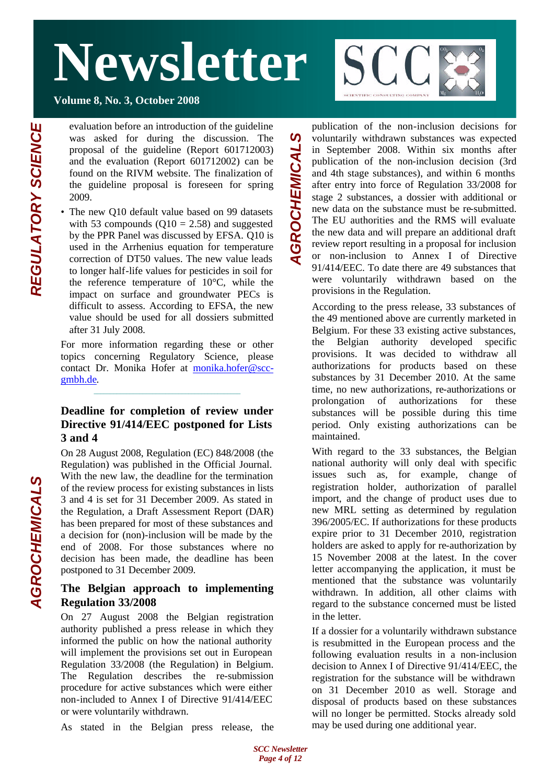**Volume 8, No. 3, October 2008**

evaluation before an introduction of the guideline was asked for during the discussion. The proposal of the guideline (Report 601712003) and the evaluation (Report 601712002) can be found on the RIVM website. The finalization of the guideline proposal is foreseen for spring 2009.

• The new Q10 default value based on 99 datasets with 53 compounds  $(Q10 = 2.58)$  and suggested by the PPR Panel was discussed by EFSA. Q10 is used in the Arrhenius equation for temperature correction of DT50 values. The new value leads to longer half-life values for pesticides in soil for the reference temperature of 10°C, while the impact on surface and groundwater PECs is difficult to assess. According to EFSA, the new value should be used for all dossiers submitted after 31 July 2008.

For more information regarding these or other topics concerning Regulatory Science, please contact Dr. Monika Hofer at monika.hofer@sccgmbh.de.

\_\_\_\_\_\_\_\_\_\_\_\_\_\_\_\_\_\_\_\_\_\_\_\_\_\_\_\_\_\_\_\_\_\_\_\_\_\_\_\_\_\_\_\_\_

#### **Deadline for completion of review under Directive 91/414/EEC postponed for Lists 3 and 4**

On 28 August 2008, Regulation (EC) 848/2008 (the Regulation) was published in the Official Journal. With the new law, the deadline for the termination of the review process for existing substances in lists 3 and 4 is set for 31 December 2009. As stated in the Regulation, a Draft Assessment Report (DAR) has been prepared for most of these substances and a decision for (non)-inclusion will be made by the end of 2008. For those substances where no decision has been made, the deadline has been postponed to 31 December 2009.

#### **The Belgian approach to implementing Regulation 33/2008**

On 27 August 2008 the Belgian registration authority published a press release in which they informed the public on how the national authority will implement the provisions set out in European Regulation 33/2008 (the Regulation) in Belgium. The Regulation describes the re-submission procedure for active substances which were either non-included to Annex I of Directive 91/414/EEC or were voluntarily withdrawn.

As stated in the Belgian press release, the



publication of the non-inclusion decisions for voluntarily withdrawn substances was expected in September 2008. Within six months after publication of the non-inclusion decision (3rd and 4th stage substances), and within 6 months after entry into force of Regulation 33/2008 for stage 2 substances, a dossier with additional or new data on the substance must be re-submitted. The EU authorities and the RMS will evaluate the new data and will prepare an additional draft review report resulting in a proposal for inclusion or non-inclusion to Annex I of Directive 91/414/EEC. To date there are 49 substances that were voluntarily withdrawn based on the provisions in the Regulation.

*AGROCHEMICALS*

GROCHEMICAL

 $\boldsymbol{\omega}$ 

According to the press release, 33 substances of the 49 mentioned above are currently marketed in Belgium. For these 33 existing active substances, the Belgian authority developed specific provisions. It was decided to withdraw all authorizations for products based on these substances by 31 December 2010. At the same time, no new authorizations, re-authorizations or prolongation of authorizations for these substances will be possible during this time period. Only existing authorizations can be maintained.

With regard to the 33 substances, the Belgian national authority will only deal with specific issues such as, for example, change of registration holder, authorization of parallel import, and the change of product uses due to new MRL setting as determined by regulation 396/2005/EC. If authorizations for these products expire prior to 31 December 2010, registration holders are asked to apply for re-authorization by 15 November 2008 at the latest. In the cover letter accompanying the application, it must be mentioned that the substance was voluntarily withdrawn. In addition, all other claims with regard to the substance concerned must be listed in the letter.

If a dossier for a voluntarily withdrawn substance is resubmitted in the European process and the following evaluation results in a non-inclusion decision to Annex I of Directive 91/414/EEC, the registration for the substance will be withdrawn on 31 December 2010 as well. Storage and disposal of products based on these substances will no longer be permitted. Stocks already sold may be used during one additional year.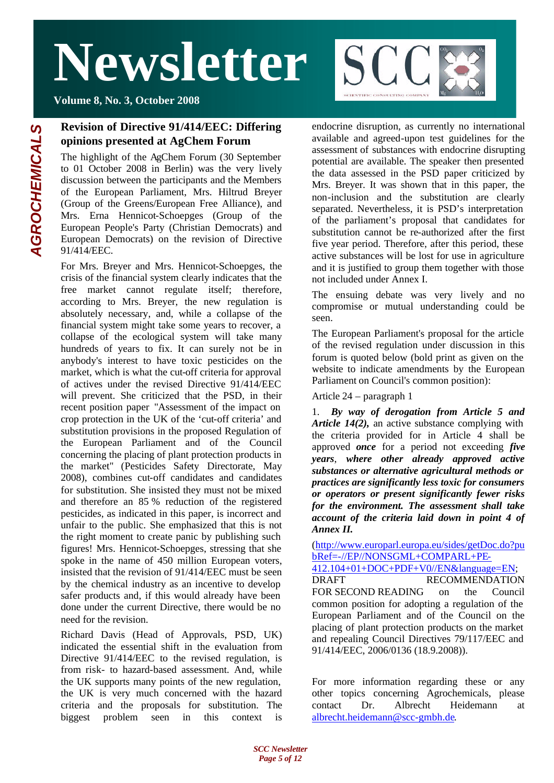

**Volume 8, No. 3, October 2008**

## **Revision of Directive 91/414/EEC: Differing opinions presented at AgChem Forum**

The highlight of the AgChem Forum (30 September to 01 October 2008 in Berlin) was the very lively discussion between the participants and the Members of the European Parliament, Mrs. Hiltrud Breyer (Group of the Greens/European Free Alliance), and Mrs. Erna Hennicot-Schoepges (Group of the European People's Party (Christian Democrats) and European Democrats) on the revision of Directive 91/414/EEC.

For Mrs. Breyer and Mrs. Hennicot-Schoepges, the crisis of the financial system clearly indicates that the free market cannot regulate itself; therefore, according to Mrs. Breyer, the new regulation is absolutely necessary, and, while a collapse of the financial system might take some years to recover, a collapse of the ecological system will take many hundreds of years to fix. It can surely not be in anybody's interest to have toxic pesticides on the market, which is what the cut-off criteria for approval of actives under the revised Directive 91/414/EEC will prevent. She criticized that the PSD, in their recent position paper "Assessment of the impact on crop protection in the UK of the 'cut-off criteria' and substitution provisions in the proposed Regulation of the European Parliament and of the Council concerning the placing of plant protection products in the market" (Pesticides Safety Directorate, May 2008), combines cut-off candidates and candidates for substitution. She insisted they must not be mixed and therefore an 85 % reduction of the registered pesticides, as indicated in this paper, is incorrect and unfair to the public. She emphasized that this is not the right moment to create panic by publishing such figures! Mrs. Hennicot-Schoepges, stressing that she spoke in the name of 450 million European voters, insisted that the revision of 91/414/EEC must be seen by the chemical industry as an incentive to develop safer products and, if this would already have been done under the current Directive, there would be no need for the revision.

Richard Davis (Head of Approvals, PSD, UK) indicated the essential shift in the evaluation from Directive 91/414/EEC to the revised regulation, is from risk- to hazard-based assessment. And, while the UK supports many points of the new regulation, the UK is very much concerned with the hazard criteria and the proposals for substitution. The biggest problem seen in this context is

endocrine disruption, as currently no international available and agreed-upon test guidelines for the assessment of substances with endocrine disrupting potential are available. The speaker then presented the data assessed in the PSD paper criticized by Mrs. Breyer. It was shown that in this paper, the non-inclusion and the substitution are clearly separated. Nevertheless, it is PSD's interpretation of the parliament's proposal that candidates for substitution cannot be re-authorized after the first five year period. Therefore, after this period, these active substances will be lost for use in agriculture and it is justified to group them together with those not included under Annex I.

The ensuing debate was very lively and no compromise or mutual understanding could be seen.

The European Parliament's proposal for the article of the revised regulation under discussion in this forum is quoted below (bold print as given on the website to indicate amendments by the European Parliament on Council's common position):

Article 24 – paragraph 1

1. *By way of derogation from Article 5 and Article 14(2),* an active substance complying with the criteria provided for in Article 4 shall be approved *once* for a period not exceeding *five years*, *where other already approved active substances or alternative agricultural methods or practices are significantly less toxic for consumers or operators or present significantly fewer risks for the environment. The assessment shall take account of the criteria laid down in point 4 of Annex II.*

(http://www.europarl.europa.eu/sides/getDoc.do?pu bRef=-//EP//NONSGML+COMPARL+PE-

412.104+01+DOC+PDF+V0//EN&language=EN; DRAFT RECOMMENDATION FOR SECOND READING on the Council common position for adopting a regulation of the European Parliament and of the Council on the placing of plant protection products on the market and repealing Council Directives 79/117/EEC and 91/414/EEC, 2006/0136 (18.9.2008)).

For more information regarding these or any other topics concerning Agrochemicals, please contact Dr. Albrecht Heidemann at albrecht.heidemann@scc-gmbh.de.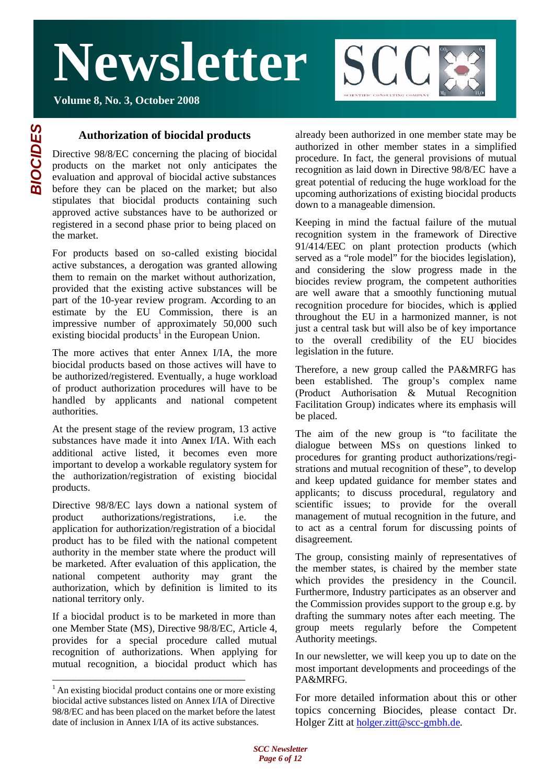



### **Authorization of biocidal products**

Directive 98/8/EC concerning the placing of biocidal products on the market not only anticipates the evaluation and approval of biocidal active substances before they can be placed on the market; but also stipulates that biocidal products containing such approved active substances have to be authorized or registered in a second phase prior to being placed on the market.

For products based on so-called existing biocidal active substances, a derogation was granted allowing them to remain on the market without authorization, provided that the existing active substances will be part of the 10-year review program. According to an estimate by the EU Commission, there is an impressive number of approximately 50,000 such existing biocidal products<sup>1</sup> in the European Union.

The more actives that enter Annex I/IA, the more biocidal products based on those actives will have to be authorized/registered. Eventually, a huge workload of product authorization procedures will have to be handled by applicants and national competent authorities.

At the present stage of the review program, 13 active substances have made it into Annex I/IA. With each additional active listed, it becomes even more important to develop a workable regulatory system for the authorization/registration of existing biocidal products.

Directive 98/8/EC lays down a national system of product authorizations/registrations, i.e. the application for authorization/registration of a biocidal product has to be filed with the national competent authority in the member state where the product will be marketed. After evaluation of this application, the national competent authority may grant the authorization, which by definition is limited to its national territory only.

If a biocidal product is to be marketed in more than one Member State (MS), Directive 98/8/EC, Article 4, provides for a special procedure called mutual recognition of authorizations. When applying for mutual recognition, a biocidal product which has

\_\_\_\_\_\_\_\_\_\_\_\_\_\_\_\_\_\_\_\_\_\_\_\_\_\_\_\_\_\_\_\_\_\_\_\_

already been authorized in one member state may be authorized in other member states in a simplified procedure. In fact, the general provisions of mutual recognition as laid down in Directive 98/8/EC have a great potential of reducing the huge workload for the upcoming authorizations of existing biocidal products down to a manageable dimension.

Keeping in mind the factual failure of the mutual recognition system in the framework of Directive 91/414/EEC on plant protection products (which served as a "role model" for the biocides legislation), and considering the slow progress made in the biocides review program, the competent authorities are well aware that a smoothly functioning mutual recognition procedure for biocides, which is applied throughout the EU in a harmonized manner, is not just a central task but will also be of key importance to the overall credibility of the EU biocides legislation in the future.

Therefore, a new group called the PA&MRFG has been established. The group's complex name (Product Authorisation & Mutual Recognition Facilitation Group) indicates where its emphasis will be placed.

The aim of the new group is "to facilitate the dialogue between MSs on questions linked to procedures for granting product authorizations/registrations and mutual recognition of these", to develop and keep updated guidance for member states and applicants; to discuss procedural, regulatory and scientific issues; to provide for the overall management of mutual recognition in the future, and to act as a central forum for discussing points of disagreement.

The group, consisting mainly of representatives of the member states, is chaired by the member state which provides the presidency in the Council. Furthermore, Industry participates as an observer and the Commission provides support to the group e.g. by drafting the summary notes after each meeting. The group meets regularly before the Competent Authority meetings.

In our newsletter, we will keep you up to date on the most important developments and proceedings of the PA&MRFG.

For more detailed information about this or other topics concerning Biocides, please contact Dr. Holger Zitt at holger.zitt@scc-gmbh.de.

 $<sup>1</sup>$  An existing biocidal product contains one or more existing</sup> biocidal active substances listed on Annex I/IA of Directive 98/8/EC and has been placed on the market before the latest date of inclusion in Annex I/IA of its active substances.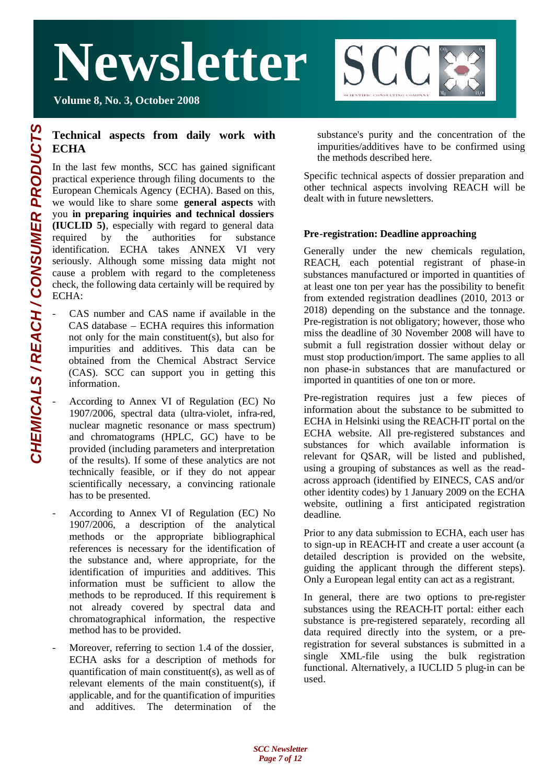



### **Technical aspects from daily work with ECHA**

In the last few months, SCC has gained significant practical experience through filing documents to the European Chemicals Agency (ECHA). Based on this, we would like to share some **general aspects** with you **in preparing inquiries and technical dossiers (IUCLID 5)**, especially with regard to general data required by the authorities for substance identification. ECHA takes ANNEX VI very seriously. Although some missing data might not cause a problem with regard to the completeness check, the following data certainly will be required by ECHA:

- CAS number and CAS name if available in the CAS database – ECHA requires this information not only for the main constituent(s), but also for impurities and additives. This data can be obtained from the Chemical Abstract Service (CAS). SCC can support you in getting this information.
- According to Annex VI of Regulation (EC) No 1907/2006, spectral data (ultra-violet, infra-red, nuclear magnetic resonance or mass spectrum) and chromatograms (HPLC, GC) have to be provided (including parameters and interpretation of the results). If some of these analytics are not technically feasible, or if they do not appear scientifically necessary, a convincing rationale has to be presented.
- According to Annex VI of Regulation (EC) No 1907/2006, a description of the analytical methods or the appropriate bibliographical references is necessary for the identification of the substance and, where appropriate, for the identification of impurities and additives. This information must be sufficient to allow the methods to be reproduced. If this requirement is not already covered by spectral data and chromatographical information, the respective method has to be provided.
- Moreover, referring to section 1.4 of the dossier, ECHA asks for a description of methods for quantification of main constituent(s), as well as of relevant elements of the main constituent(s), if applicable, and for the quantification of impurities and additives. The determination of the

substance's purity and the concentration of the impurities/additives have to be confirmed using the methods described here.

Specific technical aspects of dossier preparation and other technical aspects involving REACH will be dealt with in future newsletters.

#### **Pre-registration: Deadline approaching**

Generally under the new chemicals regulation, REACH, each potential registrant of phase-in substances manufactured or imported in quantities of at least one ton per year has the possibility to benefit from extended registration deadlines (2010, 2013 or 2018) depending on the substance and the tonnage. Pre-registration is not obligatory; however, those who miss the deadline of 30 November 2008 will have to submit a full registration dossier without delay or must stop production/import. The same applies to all non phase-in substances that are manufactured or imported in quantities of one ton or more.

Pre-registration requires just a few pieces of information about the substance to be submitted to ECHA in Helsinki using the REACH-IT portal on the ECHA website. All pre-registered substances and substances for which available information is relevant for QSAR, will be listed and published, using a grouping of substances as well as the readacross approach (identified by EINECS, CAS and/or other identity codes) by 1 January 2009 on the ECHA website, outlining a first anticipated registration deadline.

Prior to any data submission to ECHA, each user has to sign-up in REACH-IT and create a user account (a detailed description is provided on the website, guiding the applicant through the different steps). Only a European legal entity can act as a registrant.

In general, there are two options to pre-register substances using the REACH-IT portal: either each substance is pre-registered separately, recording all data required directly into the system, or a preregistration for several substances is submitted in a single XML-file using the bulk registration functional. Alternatively, a IUCLID 5 plug-in can be used.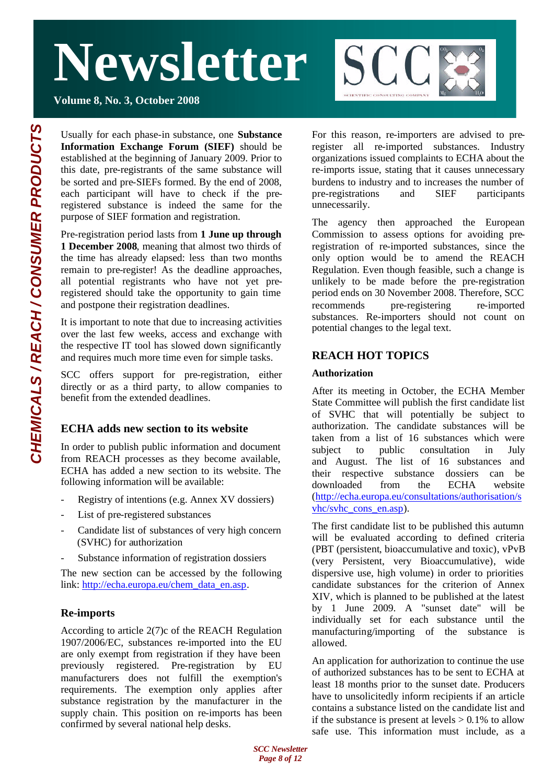

**Volume 8, No. 3, October 2008**

Usually for each phase-in substance, one **Substance Information Exchange Forum (SIEF)** should be established at the beginning of January 2009. Prior to this date, pre-registrants of the same substance will be sorted and pre-SIEFs formed. By the end of 2008, each participant will have to check if the preregistered substance is indeed the same for the purpose of SIEF formation and registration.

Pre-registration period lasts from **1 June up through 1 December 2008**, meaning that almost two thirds of the time has already elapsed: less than two months remain to pre-register! As the deadline approaches, all potential registrants who have not yet preregistered should take the opportunity to gain time and postpone their registration deadlines.

It is important to note that due to increasing activities over the last few weeks, access and exchange with the respective IT tool has slowed down significantly and requires much more time even for simple tasks.

SCC offers support for pre-registration, either directly or as a third party, to allow companies to benefit from the extended deadlines.

## **ECHA adds new section to its website**

In order to publish public information and document from REACH processes as they become available, ECHA has added a new section to its website. The following information will be available:

- Registry of intentions (e.g. Annex XV dossiers)
- List of pre-registered substances
- Candidate list of substances of very high concern (SVHC) for authorization
- Substance information of registration dossiers

The new section can be accessed by the following link: http://echa.europa.eu/chem\_data\_en.asp.

#### **Re-imports**

According to article 2(7)c of the REACH Regulation 1907/2006/EC, substances re-imported into the EU are only exempt from registration if they have been previously registered. Pre-registration by EU manufacturers does not fulfill the exemption's requirements. The exemption only applies after substance registration by the manufacturer in the supply chain. This position on re-imports has been confirmed by several national help desks.

For this reason, re-importers are advised to preregister all re-imported substances. Industry organizations issued complaints to ECHA about the re-imports issue, stating that it causes unnecessary burdens to industry and to increases the number of pre-registrations and SIEF participants unnecessarily.

The agency then approached the European Commission to assess options for avoiding preregistration of re-imported substances, since the only option would be to amend the REACH Regulation. Even though feasible, such a change is unlikely to be made before the pre-registration period ends on 30 November 2008. Therefore, SCC recommends pre-registering re-imported substances. Re-importers should not count on potential changes to the legal text.

## **REACH HOT TOPICS**

#### **Authorization**

After its meeting in October, the ECHA Member State Committee will publish the first candidate list of SVHC that will potentially be subject to authorization. The candidate substances will be taken from a list of 16 substances which were subject to public consultation in July and August. The list of 16 substances and their respective substance dossiers can be downloaded from the ECHA website (http://echa.europa.eu/consultations/authorisation/s vhc/svhc\_cons\_en.asp).

The first candidate list to be published this autumn will be evaluated according to defined criteria (PBT (persistent, bioaccumulative and toxic), vPvB (very Persistent, very Bioaccumulative), wide dispersive use, high volume) in order to priorities candidate substances for the criterion of Annex XIV, which is planned to be published at the latest by 1 June 2009. A "sunset date" will be individually set for each substance until the manufacturing/importing of the substance is allowed.

An application for authorization to continue the use of authorized substances has to be sent to ECHA at least 18 months prior to the sunset date. Producers have to unsolicitedly inform recipients if an article contains a substance listed on the candidate list and if the substance is present at levels  $> 0.1\%$  to allow safe use. This information must include, as a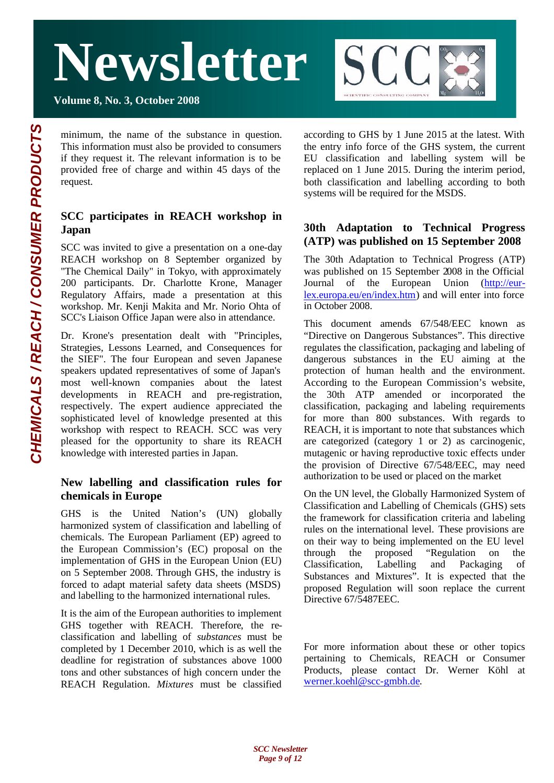**Volume 8, No. 3, October 2008**



minimum, the name of the substance in question. This information must also be provided to consumers if they request it. The relevant information is to be provided free of charge and within 45 days of the request.

### **SCC participates in REACH workshop in Japan**

SCC was invited to give a presentation on a one-day REACH workshop on 8 September organized by "The Chemical Daily" in Tokyo, with approximately 200 participants. Dr. Charlotte Krone, Manager Regulatory Affairs, made a presentation at this workshop. Mr. Kenji Makita and Mr. Norio Ohta of SCC's Liaison Office Japan were also in attendance.

Dr. Krone's presentation dealt with "Principles, Strategies, Lessons Learned, and Consequences for the SIEF". The four European and seven Japanese speakers updated representatives of some of Japan's most well-known companies about the latest developments in REACH and pre-registration, respectively. The expert audience appreciated the sophisticated level of knowledge presented at this workshop with respect to REACH. SCC was very pleased for the opportunity to share its REACH knowledge with interested parties in Japan.

#### **New labelling and classification rules for chemicals in Europe**

GHS is the United Nation's (UN) globally harmonized system of classification and labelling of chemicals. The European Parliament (EP) agreed to the European Commission's (EC) proposal on the implementation of GHS in the European Union (EU) on 5 September 2008. Through GHS, the industry is forced to adapt material safety data sheets (MSDS) and labelling to the harmonized international rules.

It is the aim of the European authorities to implement GHS together with REACH. Therefore, the reclassification and labelling of *substances* must be completed by 1 December 2010, which is as well the deadline for registration of substances above 1000 tons and other substances of high concern under the REACH Regulation. *Mixtures* must be classified

according to GHS by 1 June 2015 at the latest. With the entry info force of the GHS system, the current EU classification and labelling system will be replaced on 1 June 2015. During the interim period, both classification and labelling according to both systems will be required for the MSDS.

### **30th Adaptation to Technical Progress (ATP) was published on 15 September 2008**

The 30th Adaptation to Technical Progress (ATP) was published on 15 September 2008 in the Official Journal of the European Union (http://eurlex.europa.eu/en/index.htm) and will enter into force in October 2008.

This document amends 67/548/EEC known as "Directive on Dangerous Substances". This directive regulates the classification, packaging and labeling of dangerous substances in the EU aiming at the protection of human health and the environment. According to the European Commission's website, the 30th ATP amended or incorporated the classification, packaging and labeling requirements for more than 800 substances. With regards to REACH, it is important to note that substances which are categorized (category 1 or 2) as carcinogenic, mutagenic or having reproductive toxic effects under the provision of Directive 67/548/EEC, may need authorization to be used or placed on the market

On the UN level, the Globally Harmonized System of Classification and Labelling of Chemicals (GHS) sets the framework for classification criteria and labeling rules on the international level. These provisions are on their way to being implemented on the EU level through the proposed "Regulation on the Classification, Labelling and Packaging of Substances and Mixtures". It is expected that the proposed Regulation will soon replace the current Directive 67/5487EEC.

For more information about these or other topics pertaining to Chemicals, REACH or Consumer Products, please contact Dr. Werner Köhl at werner.koehl@scc-gmbh.de.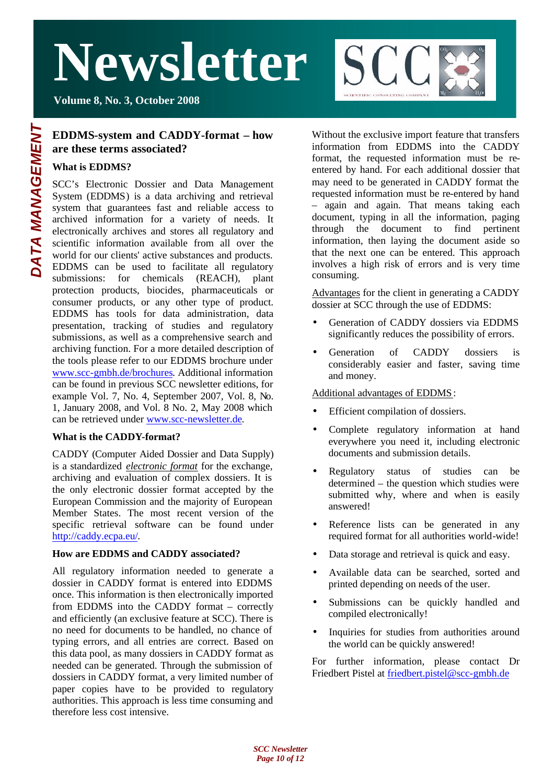**Volume 8, No. 3, October 2008**

#### **EDDMS-system and CADDY-format – how are these terms associated?**

#### **What is EDDMS?**

SCC's Electronic Dossier and Data Management System (EDDMS) is a data archiving and retrieval system that guarantees fast and reliable access to archived information for a variety of needs. It electronically archives and stores all regulatory and scientific information available from all over the world for our clients' active substances and products. EDDMS can be used to facilitate all regulatory submissions: for chemicals (REACH), plant protection products, biocides, pharmaceuticals or consumer products, or any other type of product. EDDMS has tools for data administration, data presentation, tracking of studies and regulatory submissions, as well as a comprehensive search and archiving function. For a more detailed description of the tools please refer to our EDDMS brochure under www.scc-gmbh.de/brochures. Additional information can be found in previous SCC newsletter editions, for example Vol. 7, No. 4, September 2007, Vol. 8, No. 1, January 2008, and Vol. 8 No. 2, May 2008 which can be retrieved under www.scc-newsletter.de.

#### **What is the CADDY-format?**

CADDY (Computer Aided Dossier and Data Supply) is a standardized *electronic format* for the exchange, archiving and evaluation of complex dossiers. It is the only electronic dossier format accepted by the European Commission and the majority of European Member States. The most recent version of the specific retrieval software can be found under http://caddy.ecpa.eu/.

#### **How are EDDMS and CADDY associated?**

All regulatory information needed to generate a dossier in CADDY format is entered into EDDMS once. This information is then electronically imported from EDDMS into the CADDY format – correctly and efficiently (an exclusive feature at SCC). There is no need for documents to be handled, no chance of typing errors, and all entries are correct. Based on this data pool, as many dossiers in CADDY format as needed can be generated. Through the submission of dossiers in CADDY format, a very limited number of paper copies have to be provided to regulatory authorities. This approach is less time consuming and therefore less cost intensive.

Without the exclusive import feature that transfers information from EDDMS into the CADDY format, the requested information must be reentered by hand. For each additional dossier that may need to be generated in CADDY format the requested information must be re-entered by hand – again and again. That means taking each document, typing in all the information, paging through the document to find pertinent information, then laying the document aside so that the next one can be entered. This approach involves a high risk of errors and is very time consuming.

**SCC** 

SCIENTIFIC CONSULTING COMPA

Advantages for the client in generating a CADDY dossier at SCC through the use of EDDMS:

- Generation of CADDY dossiers via EDDMS significantly reduces the possibility of errors.
- Generation of CADDY dossiers is considerably easier and faster, saving time and money.

#### Additional advantages of EDDMS:

- Efficient compilation of dossiers.
- Complete regulatory information at hand everywhere you need it, including electronic documents and submission details.
- Regulatory status of studies can be determined – the question which studies were submitted why, where and when is easily answered!
- Reference lists can be generated in any required format for all authorities world-wide!
- Data storage and retrieval is quick and easy.
- Available data can be searched, sorted and printed depending on needs of the user.
- Submissions can be quickly handled and compiled electronically!
- Inquiries for studies from authorities around the world can be quickly answered!

For further information, please contact Dr Friedbert Pistel at friedbert.pistel@scc-gmbh.de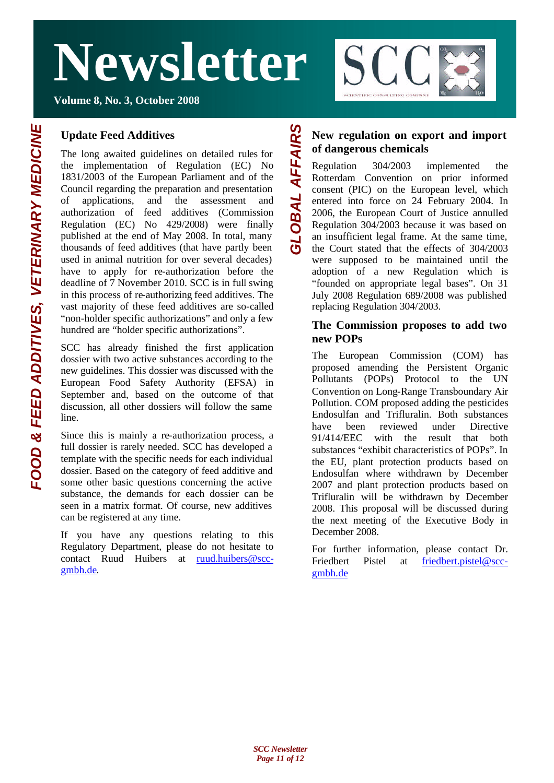

**Volume 8, No. 3, October 2008**

### **Update Feed Additives**

The long awaited guidelines on detailed rules for the implementation of Regulation (EC) No 1831/2003 of the European Parliament and of the Council regarding the preparation and presentation of applications, and the assessment and authorization of feed additives (Commission Regulation (EC) No 429/2008) were finally published at the end of May 2008. In total, many thousands of feed additives (that have partly been used in animal nutrition for over several decades) have to apply for re-authorization before the deadline of 7 November 2010. SCC is in full swing in this process of re-authorizing feed additives. The vast majority of these feed additives are so-called "non-holder specific authorizations" and only a few hundred are "holder specific authorizations".

SCC has already finished the first application dossier with two active substances according to the new guidelines. This dossier was discussed with the European Food Safety Authority (EFSA) in September and, based on the outcome of that discussion, all other dossiers will follow the same line.

Since this is mainly a re-authorization process, a full dossier is rarely needed. SCC has developed a template with the specific needs for each individual dossier. Based on the category of feed additive and some other basic questions concerning the active substance, the demands for each dossier can be seen in a matrix format. Of course, new additives can be registered at any time.

If you have any questions relating to this Regulatory Department, please do not hesitate to contact Ruud Huibers at ruud.huibers@sccgmbh.de.

## **New regulation on export and import of dangerous chemicals**

*GLOBAL AFFAIRS*

**OBAL AFFAIRS** 

Regulation 304/2003 implemented the Rotterdam Convention on prior informed consent (PIC) on the European level, which entered into force on 24 February 2004. In 2006, the European Court of Justice annulled Regulation 304/2003 because it was based on an insufficient legal frame. At the same time, the Court stated that the effects of 304/2003 were supposed to be maintained until the adoption of a new Regulation which is "founded on appropriate legal bases". On 31 July 2008 Regulation 689/2008 was published replacing Regulation 304/2003.

#### **The Commission proposes to add two new POPs**

The European Commission (COM) has proposed amending the Persistent Organic Pollutants (POPs) Protocol to the UN Convention on Long-Range Transboundary Air Pollution. COM proposed adding the pesticides Endosulfan and Trifluralin. Both substances have been reviewed under Directive 91/414/EEC with the result that both substances "exhibit characteristics of POPs". In the EU, plant protection products based on Endosulfan where withdrawn by December 2007 and plant protection products based on Trifluralin will be withdrawn by December 2008. This proposal will be discussed during the next meeting of the Executive Body in December 2008.

For further information, please contact Dr. Friedbert Pistel at friedbert.pistel@sccgmbh.de